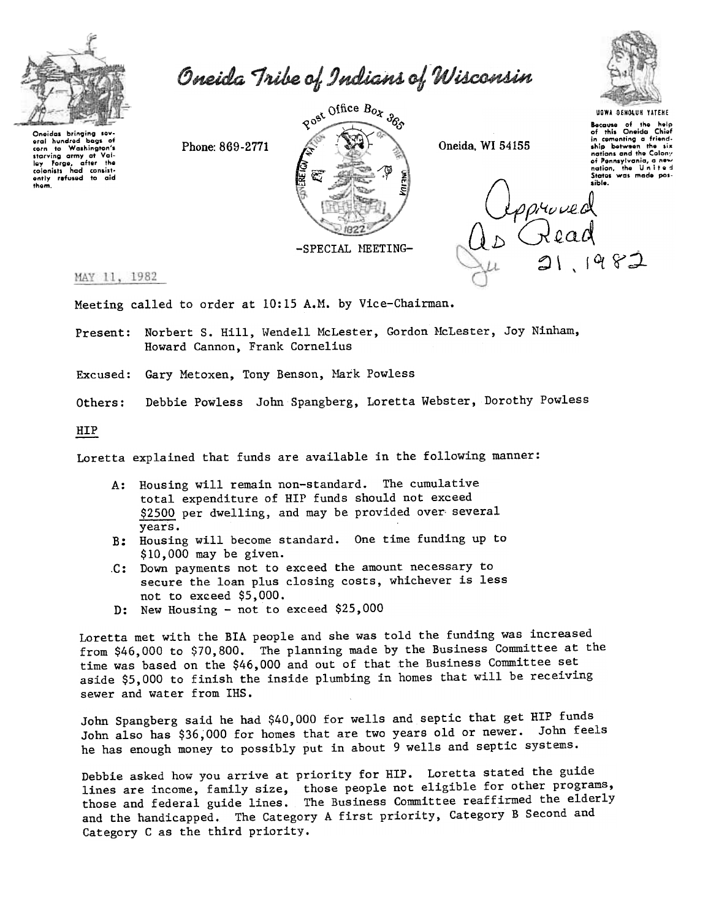

them.

Oneida Tribe of Indians of Wisconsin

Phone: 869-2771



Oneida, WI 54155



Because of the help<br>of this Oneida Chief or mis Unelad Unier<br>in cementing a friend-<br>ship between the six nations and the Colony of Pennsylvania, a new<br>nation, the United nation, the United<br>States was made pos-



MAY 11, 1982

Meeting called to order at 10:15 A.M. by Vice-Chairman.

Present: Norbert S. Hill, Wendell McLester, Gordon McLester, Joy Ninham, Howard Cannon, Frank Cornelius

Excused: Gary Metoxen, Tony Benson, Mark Powless

Debbie Powless John Spangberg, Loretta Webster, Dorothy Powless Others:

HIP

Loretta explained that funds are available in the following manner:

- A: Housing will remain non-standard. The cumulative total expenditure of HIP funds should not exceed \$2500 per dwelling, and may be provided over several vears.
- B: Housing will become standard. One time funding up to  $$10,000$  may be given.
- C: Down payments not to exceed the amount necessary to secure the loan plus closing costs, whichever is less not to exceed \$5,000.
- D: New Housing not to exceed \$25,000

Loretta met with the BIA people and she was told the funding was increased from \$46,000 to \$70,800. The planning made by the Business Committee at the time was based on the \$46,000 and out of that the Business Committee set aside \$5,000 to finish the inside plumbing in homes that will be receiving sewer and water from IHS.

John Spangberg said he had \$40,000 for wells and septic that get HIP funds John also has \$36,000 for homes that are two years old or newer. John feels he has enough money to possibly put in about 9 wells and septic systems.

Debbie asked how you arrive at priority for HIP. Loretta stated the guide lines are income, family size, those people not eligible for other programs, those and federal guide lines. The Business Committee reaffirmed the elderly and the handicapped. The Category A first priority, Category B Second and Category C as the third priority.